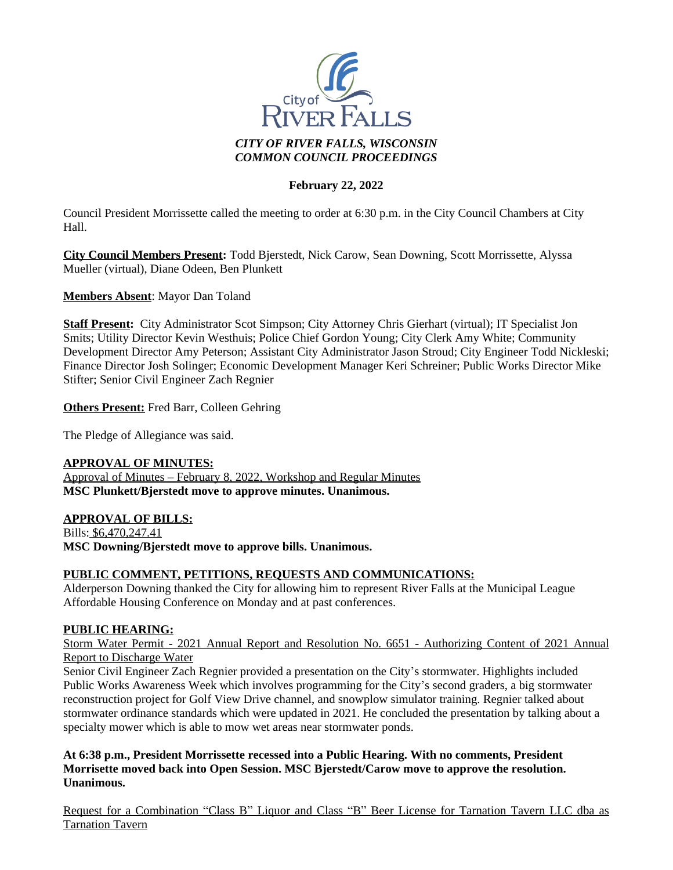

# **February 22, 2022**

Council President Morrissette called the meeting to order at 6:30 p.m. in the City Council Chambers at City Hall.

**City Council Members Present:** Todd Bjerstedt, Nick Carow, Sean Downing, Scott Morrissette, Alyssa Mueller (virtual), Diane Odeen, Ben Plunkett

**Members Absent**: Mayor Dan Toland

**Staff Present:** City Administrator Scot Simpson; City Attorney Chris Gierhart (virtual); IT Specialist Jon Smits; Utility Director Kevin Westhuis; Police Chief Gordon Young; City Clerk Amy White; Community Development Director Amy Peterson; Assistant City Administrator Jason Stroud; City Engineer Todd Nickleski; Finance Director Josh Solinger; Economic Development Manager Keri Schreiner; Public Works Director Mike Stifter; Senior Civil Engineer Zach Regnier

**Others Present:** Fred Barr, Colleen Gehring

The Pledge of Allegiance was said.

#### **APPROVAL OF MINUTES:**

Approval of Minutes – February 8, 2022, Workshop and Regular Minutes **MSC Plunkett/Bjerstedt move to approve minutes. Unanimous.**

# **APPROVAL OF BILLS:**

Bills: \$6,470,247.41 **MSC Downing/Bjerstedt move to approve bills. Unanimous.**

# **PUBLIC COMMENT, PETITIONS, REQUESTS AND COMMUNICATIONS:**

Alderperson Downing thanked the City for allowing him to represent River Falls at the Municipal League Affordable Housing Conference on Monday and at past conferences.

#### **PUBLIC HEARING:**

Storm Water Permit - 2021 Annual Report and Resolution No. 6651 - Authorizing Content of 2021 Annual Report to Discharge Water

Senior Civil Engineer Zach Regnier provided a presentation on the City's stormwater. Highlights included Public Works Awareness Week which involves programming for the City's second graders, a big stormwater reconstruction project for Golf View Drive channel, and snowplow simulator training. Regnier talked about stormwater ordinance standards which were updated in 2021. He concluded the presentation by talking about a specialty mower which is able to mow wet areas near stormwater ponds.

**At 6:38 p.m., President Morrissette recessed into a Public Hearing. With no comments, President Morrisette moved back into Open Session. MSC Bjerstedt/Carow move to approve the resolution. Unanimous.**

Request for a Combination "Class B" Liquor and Class "B" Beer License for Tarnation Tavern LLC dba as Tarnation Tavern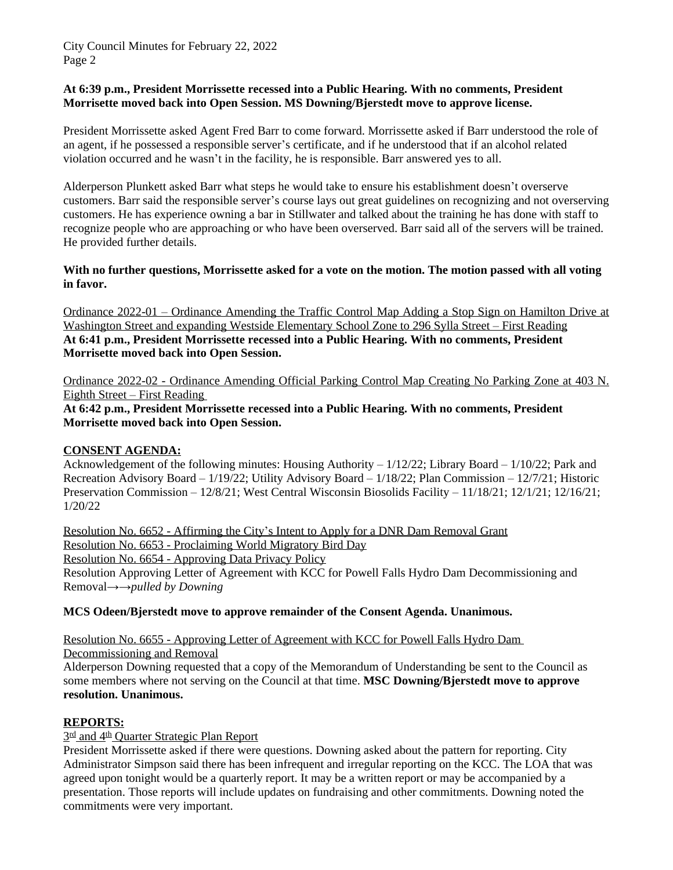#### **At 6:39 p.m., President Morrissette recessed into a Public Hearing. With no comments, President Morrisette moved back into Open Session. MS Downing/Bjerstedt move to approve license.**

President Morrissette asked Agent Fred Barr to come forward. Morrissette asked if Barr understood the role of an agent, if he possessed a responsible server's certificate, and if he understood that if an alcohol related violation occurred and he wasn't in the facility, he is responsible. Barr answered yes to all.

Alderperson Plunkett asked Barr what steps he would take to ensure his establishment doesn't overserve customers. Barr said the responsible server's course lays out great guidelines on recognizing and not overserving customers. He has experience owning a bar in Stillwater and talked about the training he has done with staff to recognize people who are approaching or who have been overserved. Barr said all of the servers will be trained. He provided further details.

**With no further questions, Morrissette asked for a vote on the motion. The motion passed with all voting in favor.**

Ordinance 2022-01 – Ordinance Amending the Traffic Control Map Adding a Stop Sign on Hamilton Drive at Washington Street and expanding Westside Elementary School Zone to 296 Sylla Street – First Reading **At 6:41 p.m., President Morrissette recessed into a Public Hearing. With no comments, President Morrisette moved back into Open Session.** 

Ordinance 2022-02 - Ordinance Amending Official Parking Control Map Creating No Parking Zone at 403 N. Eighth Street – First Reading

**At 6:42 p.m., President Morrissette recessed into a Public Hearing. With no comments, President Morrisette moved back into Open Session.** 

# **CONSENT AGENDA:**

Acknowledgement of the following minutes: Housing Authority – 1/12/22; Library Board – 1/10/22; Park and Recreation Advisory Board – 1/19/22; Utility Advisory Board – 1/18/22; Plan Commission – 12/7/21; Historic Preservation Commission –  $12/8/21$ ; West Central Wisconsin Biosolids Facility –  $11/18/21$ ;  $12/1/21$ ;  $12/16/21$ ; 1/20/22

Resolution No. 6652 - Affirming the City's Intent to Apply for a DNR Dam Removal Grant Resolution No. 6653 - Proclaiming World Migratory Bird Day Resolution No. 6654 - Approving Data Privacy Policy Resolution Approving Letter of Agreement with KCC for Powell Falls Hydro Dam Decommissioning and Removal*→→pulled by Downing*

**MCS Odeen/Bjerstedt move to approve remainder of the Consent Agenda. Unanimous.**

Resolution No. 6655 - Approving Letter of Agreement with KCC for Powell Falls Hydro Dam Decommissioning and Removal

Alderperson Downing requested that a copy of the Memorandum of Understanding be sent to the Council as some members where not serving on the Council at that time. **MSC Downing/Bjerstedt move to approve resolution. Unanimous.**

# **REPORTS:**

# 3<sup>rd</sup> and 4<sup>th</sup> Quarter Strategic Plan Report

President Morrissette asked if there were questions. Downing asked about the pattern for reporting. City Administrator Simpson said there has been infrequent and irregular reporting on the KCC. The LOA that was agreed upon tonight would be a quarterly report. It may be a written report or may be accompanied by a presentation. Those reports will include updates on fundraising and other commitments. Downing noted the commitments were very important.